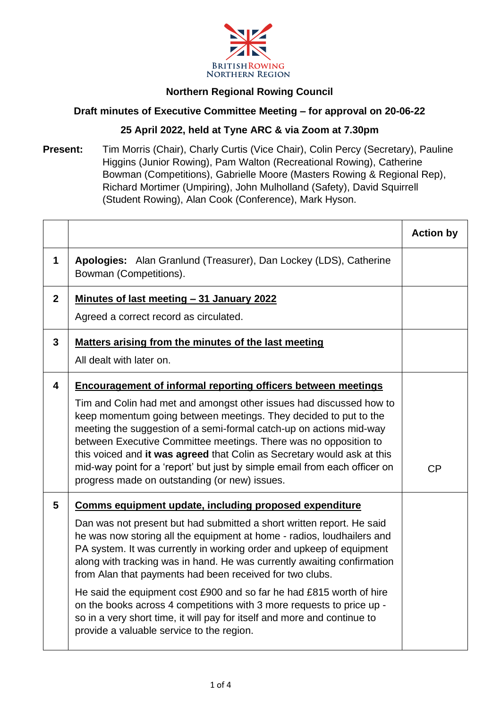

## **Northern Regional Rowing Council**

## **Draft minutes of Executive Committee Meeting – for approval on 20-06-22**

## **25 April 2022, held at Tyne ARC & via Zoom at 7.30pm**

**Present:** Tim Morris (Chair), Charly Curtis (Vice Chair), Colin Percy (Secretary), Pauline Higgins (Junior Rowing), Pam Walton (Recreational Rowing), Catherine Bowman (Competitions), Gabrielle Moore (Masters Rowing & Regional Rep), Richard Mortimer (Umpiring), John Mulholland (Safety), David Squirrell (Student Rowing), Alan Cook (Conference), Mark Hyson.

|                                                                                                                                                                                                                                                                                                                                                                                                                                                                                                                                                                                                                                          | <b>Action by</b> |
|------------------------------------------------------------------------------------------------------------------------------------------------------------------------------------------------------------------------------------------------------------------------------------------------------------------------------------------------------------------------------------------------------------------------------------------------------------------------------------------------------------------------------------------------------------------------------------------------------------------------------------------|------------------|
| Apologies: Alan Granlund (Treasurer), Dan Lockey (LDS), Catherine<br>Bowman (Competitions).                                                                                                                                                                                                                                                                                                                                                                                                                                                                                                                                              |                  |
| Minutes of last meeting - 31 January 2022                                                                                                                                                                                                                                                                                                                                                                                                                                                                                                                                                                                                |                  |
| Agreed a correct record as circulated.                                                                                                                                                                                                                                                                                                                                                                                                                                                                                                                                                                                                   |                  |
| Matters arising from the minutes of the last meeting                                                                                                                                                                                                                                                                                                                                                                                                                                                                                                                                                                                     |                  |
| All dealt with later on.                                                                                                                                                                                                                                                                                                                                                                                                                                                                                                                                                                                                                 |                  |
| <b>Encouragement of informal reporting officers between meetings</b>                                                                                                                                                                                                                                                                                                                                                                                                                                                                                                                                                                     |                  |
| Tim and Colin had met and amongst other issues had discussed how to<br>keep momentum going between meetings. They decided to put to the<br>meeting the suggestion of a semi-formal catch-up on actions mid-way<br>between Executive Committee meetings. There was no opposition to<br>this voiced and it was agreed that Colin as Secretary would ask at this<br>mid-way point for a 'report' but just by simple email from each officer on<br>progress made on outstanding (or new) issues.                                                                                                                                             | CP               |
| Comms equipment update, including proposed expenditure                                                                                                                                                                                                                                                                                                                                                                                                                                                                                                                                                                                   |                  |
| Dan was not present but had submitted a short written report. He said<br>he was now storing all the equipment at home - radios, loudhailers and<br>PA system. It was currently in working order and upkeep of equipment<br>along with tracking was in hand. He was currently awaiting confirmation<br>from Alan that payments had been received for two clubs.<br>He said the equipment cost £900 and so far he had £815 worth of hire<br>on the books across 4 competitions with 3 more requests to price up -<br>so in a very short time, it will pay for itself and more and continue to<br>provide a valuable service to the region. |                  |
|                                                                                                                                                                                                                                                                                                                                                                                                                                                                                                                                                                                                                                          |                  |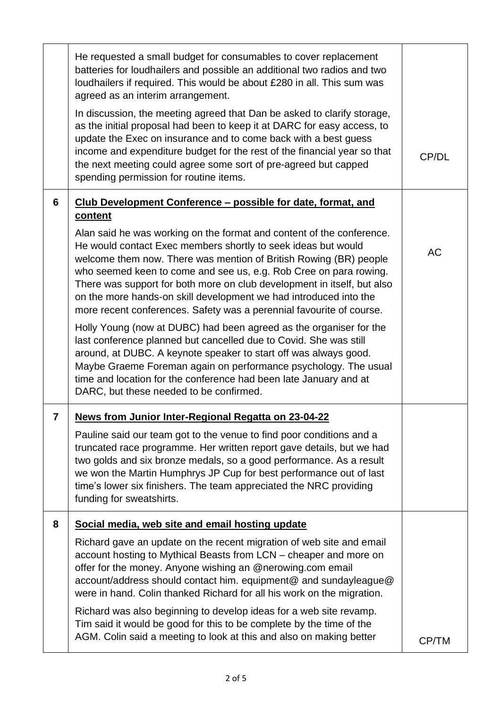|   | He requested a small budget for consumables to cover replacement<br>batteries for loudhailers and possible an additional two radios and two<br>loudhailers if required. This would be about £280 in all. This sum was<br>agreed as an interim arrangement.<br>In discussion, the meeting agreed that Dan be asked to clarify storage,<br>as the initial proposal had been to keep it at DARC for easy access, to<br>update the Exec on insurance and to come back with a best guess<br>income and expenditure budget for the rest of the financial year so that<br>the next meeting could agree some sort of pre-agreed but capped<br>spending permission for routine items.                                                                                                                                                                                                                                                                                                          | CP/DL     |
|---|---------------------------------------------------------------------------------------------------------------------------------------------------------------------------------------------------------------------------------------------------------------------------------------------------------------------------------------------------------------------------------------------------------------------------------------------------------------------------------------------------------------------------------------------------------------------------------------------------------------------------------------------------------------------------------------------------------------------------------------------------------------------------------------------------------------------------------------------------------------------------------------------------------------------------------------------------------------------------------------|-----------|
| 6 | Club Development Conference - possible for date, format, and<br>content<br>Alan said he was working on the format and content of the conference.<br>He would contact Exec members shortly to seek ideas but would<br>welcome them now. There was mention of British Rowing (BR) people<br>who seemed keen to come and see us, e.g. Rob Cree on para rowing.<br>There was support for both more on club development in itself, but also<br>on the more hands-on skill development we had introduced into the<br>more recent conferences. Safety was a perennial favourite of course.<br>Holly Young (now at DUBC) had been agreed as the organiser for the<br>last conference planned but cancelled due to Covid. She was still<br>around, at DUBC. A keynote speaker to start off was always good.<br>Maybe Graeme Foreman again on performance psychology. The usual<br>time and location for the conference had been late January and at<br>DARC, but these needed to be confirmed. | <b>AC</b> |
| 7 | <b>News from Junior Inter-Regional Regatta on 23-04-22</b><br>Pauline said our team got to the venue to find poor conditions and a<br>truncated race programme. Her written report gave details, but we had<br>two golds and six bronze medals, so a good performance. As a result<br>we won the Martin Humphrys JP Cup for best performance out of last<br>time's lower six finishers. The team appreciated the NRC providing<br>funding for sweatshirts.                                                                                                                                                                                                                                                                                                                                                                                                                                                                                                                            |           |
| 8 | Social media, web site and email hosting update<br>Richard gave an update on the recent migration of web site and email<br>account hosting to Mythical Beasts from LCN - cheaper and more on<br>offer for the money. Anyone wishing an @nerowing.com email<br>account/address should contact him. equipment@ and sundayleague@<br>were in hand. Colin thanked Richard for all his work on the migration.<br>Richard was also beginning to develop ideas for a web site revamp.<br>Tim said it would be good for this to be complete by the time of the<br>AGM. Colin said a meeting to look at this and also on making better                                                                                                                                                                                                                                                                                                                                                         | CP/TM     |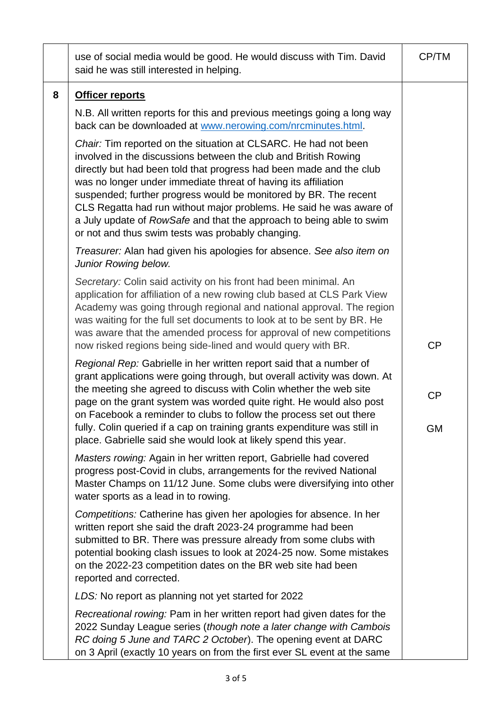|   | use of social media would be good. He would discuss with Tim. David<br>said he was still interested in helping.                                                                                                                                                                                                                                                                                                                                                                                                                                     | CP/TM           |
|---|-----------------------------------------------------------------------------------------------------------------------------------------------------------------------------------------------------------------------------------------------------------------------------------------------------------------------------------------------------------------------------------------------------------------------------------------------------------------------------------------------------------------------------------------------------|-----------------|
| 8 | <b>Officer reports</b>                                                                                                                                                                                                                                                                                                                                                                                                                                                                                                                              |                 |
|   | N.B. All written reports for this and previous meetings going a long way<br>back can be downloaded at www.nerowing.com/nrcminutes.html.                                                                                                                                                                                                                                                                                                                                                                                                             |                 |
|   | Chair: Tim reported on the situation at CLSARC. He had not been<br>involved in the discussions between the club and British Rowing<br>directly but had been told that progress had been made and the club<br>was no longer under immediate threat of having its affiliation<br>suspended; further progress would be monitored by BR. The recent<br>CLS Regatta had run without major problems. He said he was aware of<br>a July update of RowSafe and that the approach to being able to swim<br>or not and thus swim tests was probably changing. |                 |
|   | Treasurer: Alan had given his apologies for absence. See also item on<br>Junior Rowing below.                                                                                                                                                                                                                                                                                                                                                                                                                                                       |                 |
|   | Secretary: Colin said activity on his front had been minimal. An<br>application for affiliation of a new rowing club based at CLS Park View<br>Academy was going through regional and national approval. The region<br>was waiting for the full set documents to look at to be sent by BR. He<br>was aware that the amended process for approval of new competitions<br>now risked regions being side-lined and would query with BR.                                                                                                                | CP              |
|   | Regional Rep: Gabrielle in her written report said that a number of<br>grant applications were going through, but overall activity was down. At<br>the meeting she agreed to discuss with Colin whether the web site<br>page on the grant system was worded quite right. He would also post<br>on Facebook a reminder to clubs to follow the process set out there<br>fully. Colin queried if a cap on training grants expenditure was still in<br>place. Gabrielle said she would look at likely spend this year.                                  | CP<br><b>GM</b> |
|   | Masters rowing: Again in her written report, Gabrielle had covered<br>progress post-Covid in clubs, arrangements for the revived National<br>Master Champs on 11/12 June. Some clubs were diversifying into other<br>water sports as a lead in to rowing.                                                                                                                                                                                                                                                                                           |                 |
|   | Competitions: Catherine has given her apologies for absence. In her<br>written report she said the draft 2023-24 programme had been<br>submitted to BR. There was pressure already from some clubs with<br>potential booking clash issues to look at 2024-25 now. Some mistakes<br>on the 2022-23 competition dates on the BR web site had been<br>reported and corrected.                                                                                                                                                                          |                 |
|   | LDS: No report as planning not yet started for 2022                                                                                                                                                                                                                                                                                                                                                                                                                                                                                                 |                 |
|   | Recreational rowing: Pam in her written report had given dates for the<br>2022 Sunday League series (though note a later change with Cambois<br>RC doing 5 June and TARC 2 October). The opening event at DARC<br>on 3 April (exactly 10 years on from the first ever SL event at the same                                                                                                                                                                                                                                                          |                 |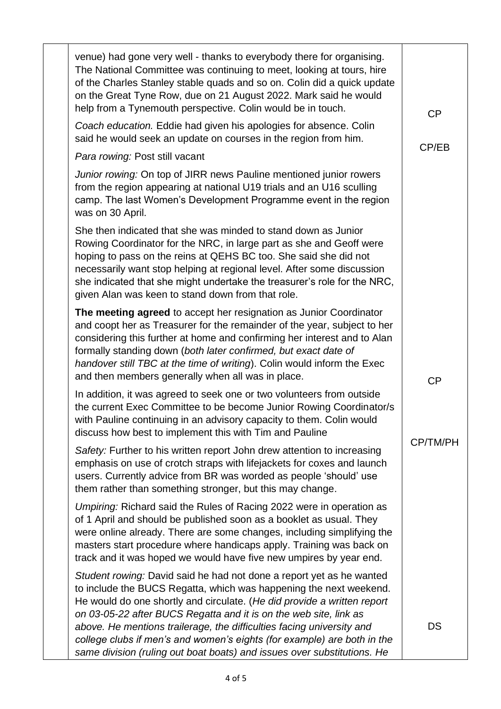| venue) had gone very well - thanks to everybody there for organising.<br>The National Committee was continuing to meet, looking at tours, hire<br>of the Charles Stanley stable quads and so on. Colin did a quick update<br>on the Great Tyne Row, due on 21 August 2022. Mark said he would<br>help from a Tynemouth perspective. Colin would be in touch.                                                                                                                                                              | CP        |
|---------------------------------------------------------------------------------------------------------------------------------------------------------------------------------------------------------------------------------------------------------------------------------------------------------------------------------------------------------------------------------------------------------------------------------------------------------------------------------------------------------------------------|-----------|
| Coach education. Eddie had given his apologies for absence. Colin<br>said he would seek an update on courses in the region from him.                                                                                                                                                                                                                                                                                                                                                                                      | CP/EB     |
| Para rowing: Post still vacant                                                                                                                                                                                                                                                                                                                                                                                                                                                                                            |           |
| Junior rowing: On top of JIRR news Pauline mentioned junior rowers<br>from the region appearing at national U19 trials and an U16 sculling<br>camp. The last Women's Development Programme event in the region<br>was on 30 April.                                                                                                                                                                                                                                                                                        |           |
| She then indicated that she was minded to stand down as Junior<br>Rowing Coordinator for the NRC, in large part as she and Geoff were<br>hoping to pass on the reins at QEHS BC too. She said she did not<br>necessarily want stop helping at regional level. After some discussion<br>she indicated that she might undertake the treasurer's role for the NRC,<br>given Alan was keen to stand down from that role.                                                                                                      |           |
| The meeting agreed to accept her resignation as Junior Coordinator<br>and coopt her as Treasurer for the remainder of the year, subject to her<br>considering this further at home and confirming her interest and to Alan<br>formally standing down (both later confirmed, but exact date of<br>handover still TBC at the time of writing). Colin would inform the Exec<br>and then members generally when all was in place.                                                                                             | <b>CP</b> |
| In addition, it was agreed to seek one or two volunteers from outside<br>the current Exec Committee to be become Junior Rowing Coordinator/s<br>with Pauline continuing in an advisory capacity to them. Colin would<br>discuss how best to implement this with Tim and Pauline                                                                                                                                                                                                                                           |           |
| Safety: Further to his written report John drew attention to increasing<br>emphasis on use of crotch straps with lifejackets for coxes and launch<br>users. Currently advice from BR was worded as people 'should' use<br>them rather than something stronger, but this may change.                                                                                                                                                                                                                                       | CP/TM/PH  |
| Umpiring: Richard said the Rules of Racing 2022 were in operation as<br>of 1 April and should be published soon as a booklet as usual. They<br>were online already. There are some changes, including simplifying the<br>masters start procedure where handicaps apply. Training was back on<br>track and it was hoped we would have five new umpires by year end.                                                                                                                                                        |           |
| Student rowing: David said he had not done a report yet as he wanted<br>to include the BUCS Regatta, which was happening the next weekend.<br>He would do one shortly and circulate. (He did provide a written report<br>on 03-05-22 after BUCS Regatta and it is on the web site, link as<br>above. He mentions trailerage, the difficulties facing university and<br>college clubs if men's and women's eights (for example) are both in the<br>same division (ruling out boat boats) and issues over substitutions. He | DS        |